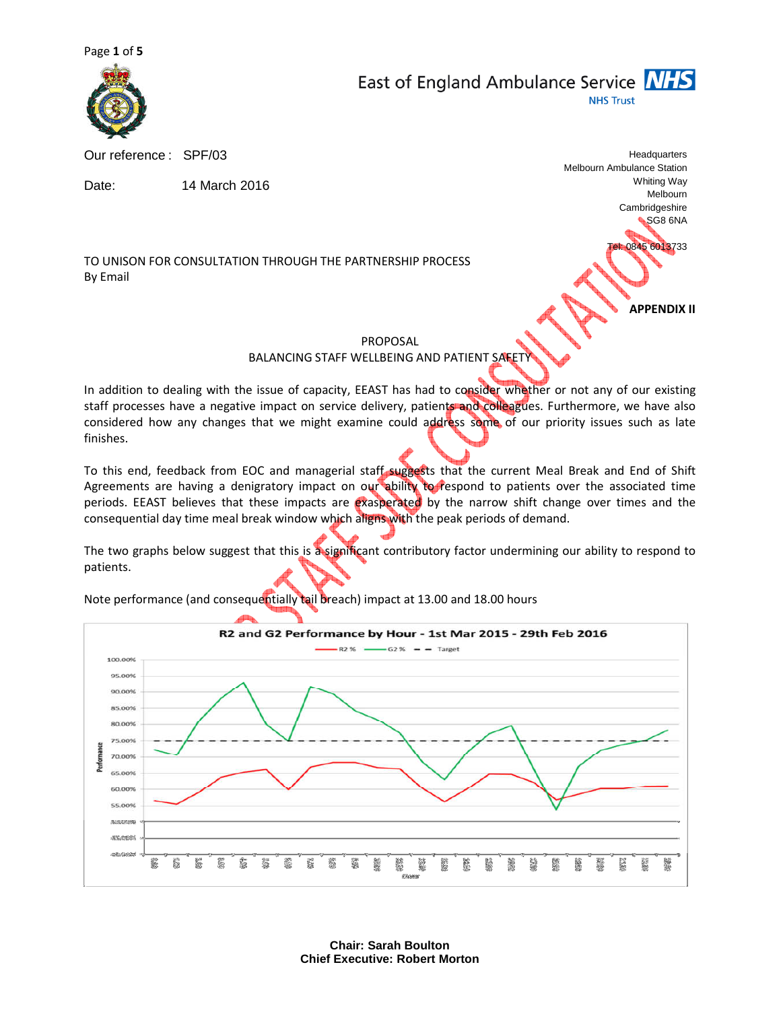

East of England Ambulance Service **NHS NHS Trust** 

Our reference : SPF/03

Date: 14 March 2016

TO UNISON FOR CONSULTATION THROUGH THE PARTNERSHIP PROCESS By Email

Melbourn Cambridgeshire SG8 6NA 0845 6013733

Melbourn Ambulance Station

**Headquarters** 

Whiting Way

APPENDIX II

PROPOSAL

BALANCING STAFF WELLBEING AND PATIENT SAFET

In addition to dealing with the issue of capacity, EEAST has had to consider whether or not any of our existing staff processes have a negative impact on service delivery, patients and colleagues. Furthermore, we have also considered how any changes that we might examine could address some of our priority issues such as late finishes.

To this end, feedback from EOC and managerial staff suggests that the current Meal Break and End of Shift Agreements are having a denigratory impact on our ability to respond to patients over the associated time periods. EEAST believes that these impacts are exasperated by the narrow shift change over times and the consequential day time meal break window which aligns with the peak periods of demand.

The two graphs below suggest that this is a significant contributory factor undermining our ability to respond to patients.

Note performance (and consequentially tail breach) impact at 13.00 and 18.00 hours



**Chair: Sarah Boulton Chief Executive: Robert Morton**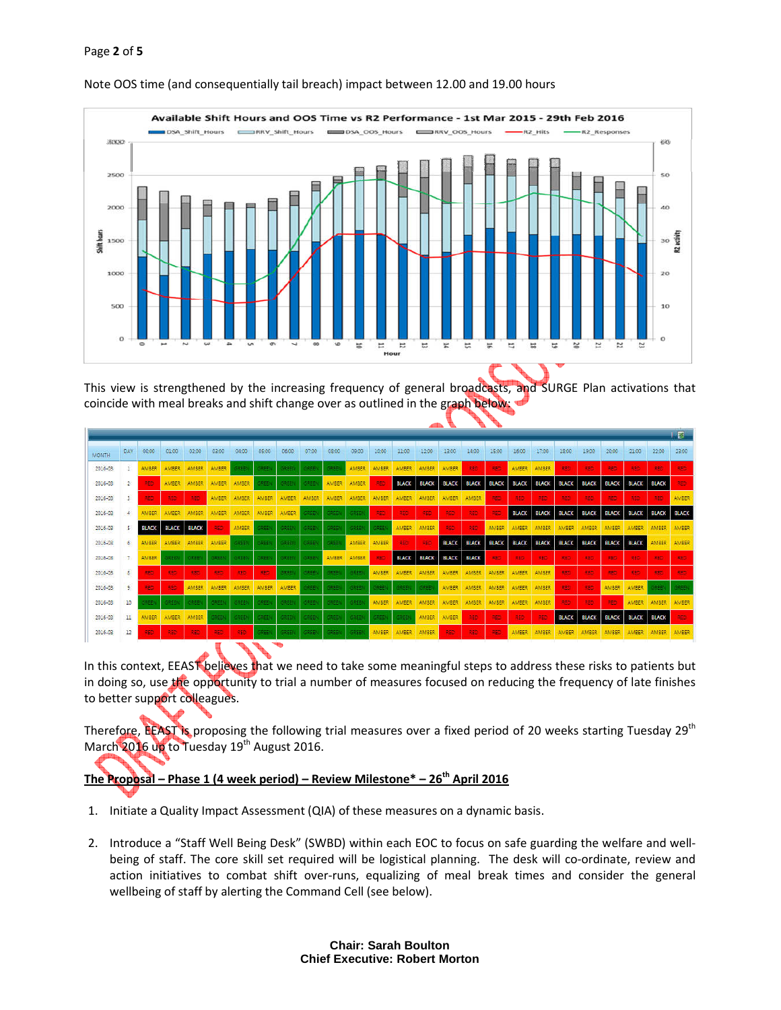#### Page 2 of 5



#### Note OOS time (and consequentially tail breach) impact between 12.00 and 19.00 hours

This view is strengthened by the increasing frequency of general broadcasts, and SURGE Plan activations that coincide with meal breaks and shift change over as outlined in the graph below:

|              |                |              |              |              |              |              |                |              |              |              |              |              |              |              | 「國           |              |              |              |              |              |              |              |              |              |              |
|--------------|----------------|--------------|--------------|--------------|--------------|--------------|----------------|--------------|--------------|--------------|--------------|--------------|--------------|--------------|--------------|--------------|--------------|--------------|--------------|--------------|--------------|--------------|--------------|--------------|--------------|
| <b>MONTH</b> | DAY            | 00:00        | 01:00        | 02:00        | 03:00        | 04:00        | 05:00          | 06:00        | 07:00        | 08:00        | 09:00        | 10:00        | 11:00        | 12:00        | 13:00        | 14:00        | 15:00        | 16:00        | 17:00        | 18:00        | 19:00        | 20:00        | 21:00        | 22:00        | 23:00        |
| 2016-03      |                | <b>AMBER</b> | AMBER        | AMBER        | <b>AMBER</b> | SABEI        | 3889           | 5757         |              | 586)         | AMBER        | AMBER        | <b>AMBER</b> | <b>AMBER</b> | AMBER        | 356          | RED          | <b>AMBER</b> | <b>AMBER</b> | 550          | RED          | RED          | 3EC          | RED          | 330          |
| 2016-03      | $\mathbb{Z}^2$ | RED          | <b>AMBER</b> | <b>AMBER</b> | <b>AMBER</b> | <b>AMBER</b> | spes           | GREE         | GREE         | <b>AMBER</b> | <b>AMBER</b> | 880          | <b>BLACK</b> | <b>BLACK</b> | <b>BLACK</b> | <b>BLACK</b> | <b>BLACK</b> | <b>BLACK</b> | <b>BLACK</b> | <b>BLACK</b> | <b>BLACK</b> | <b>BLACK</b> | <b>BLACK</b> | <b>BLACK</b> | RED.         |
| 2016-03      | 3.             | AEO.         | <b>RED</b>   | 380          | <b>AMBER</b> | <b>AMBER</b> | <b>AMBER</b>   | <b>AMBER</b> | <b>AMBER</b> | <b>AMBER</b> | <b>AMBER</b> | <b>AMBER</b> | <b>AMBER</b> | <b>AMBER</b> | <b>AMBER</b> | <b>AMBER</b> | REC          | RED          | <b>RED</b>   | 380          | RED          | <b>RED</b>   | <b>RED</b>   | 350          | <b>AMBER</b> |
| 2016-03      | $\overline{4}$ | <b>MBER</b>  | <b>AMBER</b> | AMBER        | AMBER        | AMBER        | <b>AMBER</b>   | AMBER        | see.         | 5861         | SREE         | RED          | AEC.         | RED          | <b>RED</b>   | RED          | AEC          | <b>BLACK</b> | <b>BLACK</b> | <b>BLACK</b> | <b>BLACK</b> | <b>BLACK</b> | <b>BLACK</b> | <b>BLACK</b> | <b>BLACK</b> |
| 2016-03      | 5              | <b>BLACK</b> | <b>BLACK</b> | <b>BLACK</b> | REC          | AMBER        | 39EEM          | GREE         | GREEK        | 5965         | 39 E E I     | GREEK        | AMBER        | AMBER        | 485          | 355          | AMBER        | <b>AMBER</b> | AMBER        | AMBER        | <b>AMBER</b> | AMBER        | AMBER        | AMBER        | AMBER        |
| 2016-03      | 6.             | AMBER        | AMBER        | <b>AMBER</b> | <b>AMBER</b> | <b>SASE</b>  | skeer          | <b>STEE</b>  | GREEN        | 5351         | AMBER        | AMBER        | RED          | 990          | <b>BLACK</b> | <b>BLACK</b> | <b>BLACK</b> | <b>BLACK</b> | <b>BLACK</b> | <b>BLACK</b> | <b>BLACK</b> | <b>BLACK</b> | <b>BLACK</b> | MBER         | <b>AMBER</b> |
| 2016-03      | 7              | AMBER        | GREE         | GREE         | GREET        | GREE         | <b>GREET</b>   | GREE         | GREE         | <b>AMBER</b> | AMBER        | 853          | <b>BLACK</b> | <b>BLACK</b> | <b>BLACK</b> | <b>BLACK</b> | 350          | RED          | <b>RED</b>   | 853          | RED          | RED          | 960          | 850          | 350          |
| 2016-03      | 8              | RED.         | RE2          | REE          | RED          | <b>RED</b>   | RED            | 3222         | GREE         | 5965         | 38EE         | AMBER        | <b>AMBER</b> | <b>AMBER</b> | <b>AMBER</b> | <b>AMBER</b> | <b>AMBER</b> | <b>AMBER</b> | <b>AMBER</b> | 330          | RED          | <b>RED</b>   | RED          | RED          | RED          |
| 2016-03      | 9              | RED.         | 383          | <b>AMBER</b> | <b>AMBER</b> | <b>AMBER</b> | AMBER          | <b>AMBER</b> | <b>ASE</b>   | 5866         | <b>SAGE</b>  | GREEN.       | 高田県          | SAFE         | <b>AMBER</b> | <b>AMBER</b> | <b>AMBER</b> | <b>AMBER</b> | <b>AMBER</b> | 386          | 3EC          | <b>AMBER</b> | <b>AMBER</b> | <b>REEN</b>  | 646B         |
| 2016-03      | 10             | app          | GREE         | GRES         | GREET        | (GREE)       | GREEK          | GREE         | GREEK        | GREE         | GREE         | AMBER        | <b>AMBER</b> | <b>AMBER</b> | AMBER        | <b>AMBER</b> | <b>AMBER</b> | AMBER        | <b>AMBER</b> | ego          | 350          | RED          | <b>AMBER</b> | AMBER        | AMBER        |
| 2016-03      | 11             | <b>AMBER</b> | <b>AMBER</b> | <b>AMBER</b> | 34 E D       | GREEN        | 0884           | <b>SAFE</b>  | CAEDI        | 6861         | 6853         | (FREE)       | 3469         | <b>AMBER</b> | <b>AMBER</b> | RED          | REC          | RED.         | 355          | <b>BLACK</b> | <b>BLACK</b> | <b>BLACK</b> | <b>BLACK</b> | <b>BLACK</b> | REO          |
| 2016-03      | 12             | RED          | <b>SED</b>   | 320          | RED          | RED          | 59 EE          | GREE         | <b>GREET</b> | 5866         | SREE         | AMBER        | <b>AMBER</b> | <b>AMBER</b> | RED          | <b>RED</b>   | RED          | <b>AMBER</b> | <b>AMBER</b> | AMBER        | <b>AMBER</b> | <b>AMBER</b> | <b>AMBER</b> | <b>AMBER</b> | <b>AMBER</b> |
|              |                |              | TIT .        |              |              |              | $\blacksquare$ | ÷            |              |              |              |              |              |              |              |              |              |              |              |              |              |              |              |              |              |

In this context, EEAST believes that we need to take some meaningful steps to address these risks to patients but in doing so, use the opportunity to trial a number of measures focused on reducing the frequency of late finishes to better support colleagues.

Therefore, EEAST is proposing the following trial measures over a fixed period of 20 weeks starting Tuesday 29<sup>th</sup> March 2016 up to Tuesday 19<sup>th</sup> August 2016.

# The Proposal – Phase 1 (4 week period) – Review Milestone\* – 26<sup>th</sup> April 2016

- 1. Initiate a Quality Impact Assessment (QIA) of these measures on a dynamic basis.
- 2. Introduce a "Staff Well Being Desk" (SWBD) within each EOC to focus on safe guarding the welfare and wellbeing of staff. The core skill set required will be logistical planning. The desk will co-ordinate, review and action initiatives to combat shift over-runs, equalizing of meal break times and consider the general wellbeing of staff by alerting the Command Cell (see below).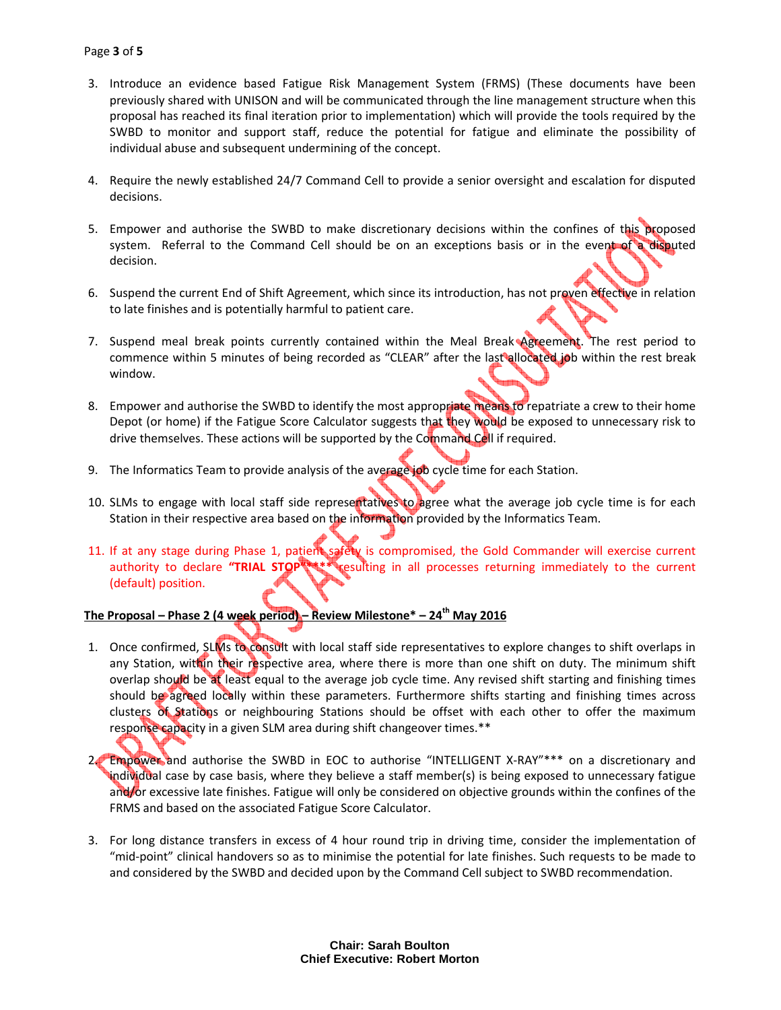- 3. Introduce an evidence based Fatigue Risk Management System (FRMS) (These documents have been previously shared with UNISON and will be communicated through the line management structure when this proposal has reached its final iteration prior to implementation) which will provide the tools required by the SWBD to monitor and support staff, reduce the potential for fatigue and eliminate the possibility of individual abuse and subsequent undermining of the concept.
- 4. Require the newly established 24/7 Command Cell to provide a senior oversight and escalation for disputed decisions.
- 5. Empower and authorise the SWBD to make discretionary decisions within the confines of this proposed system. Referral to the Command Cell should be on an exceptions basis or in the event of a disputed decision.
- 6. Suspend the current End of Shift Agreement, which since its introduction, has not proven effective in relation to late finishes and is potentially harmful to patient care.
- 7. Suspend meal break points currently contained within the Meal Break Agreement. The rest period to commence within 5 minutes of being recorded as "CLEAR" after the last allocated job within the rest break window.
- 8. Empower and authorise the SWBD to identify the most appropriate means to repatriate a crew to their home Depot (or home) if the Fatigue Score Calculator suggests that they would be exposed to unnecessary risk to drive themselves. These actions will be supported by the Command Cell if required.
- 9. The Informatics Team to provide analysis of the average job cycle time for each Station.
- 10. SLMs to engage with local staff side representatives to agree what the average job cycle time is for each Station in their respective area based on the information provided by the Informatics Team.
- 11. If at any stage during Phase 1, patient safety is compromised, the Gold Commander will exercise current authority to declare "TRIAL STOP"\*\*\*\* resulting in all processes returning immediately to the current (default) position.

# The Proposal – Phase 2 (4 week period) – Review Milestone\* – 24<sup>th</sup> May 2016

- 1. Once confirmed, SLMs to consult with local staff side representatives to explore changes to shift overlaps in any Station, within their respective area, where there is more than one shift on duty. The minimum shift overlap should be at least equal to the average job cycle time. Any revised shift starting and finishing times should be agreed locally within these parameters. Furthermore shifts starting and finishing times across clusters of Stations or neighbouring Stations should be offset with each other to offer the maximum response capacity in a given SLM area during shift changeover times.\*\*
- 2. Empower and authorise the SWBD in EOC to authorise "INTELLIGENT X-RAY"\*\*\* on a discretionary and individual case by case basis, where they believe a staff member(s) is being exposed to unnecessary fatigue and/or excessive late finishes. Fatigue will only be considered on objective grounds within the confines of the FRMS and based on the associated Fatigue Score Calculator.
- 3. For long distance transfers in excess of 4 hour round trip in driving time, consider the implementation of "mid-point" clinical handovers so as to minimise the potential for late finishes. Such requests to be made to and considered by the SWBD and decided upon by the Command Cell subject to SWBD recommendation.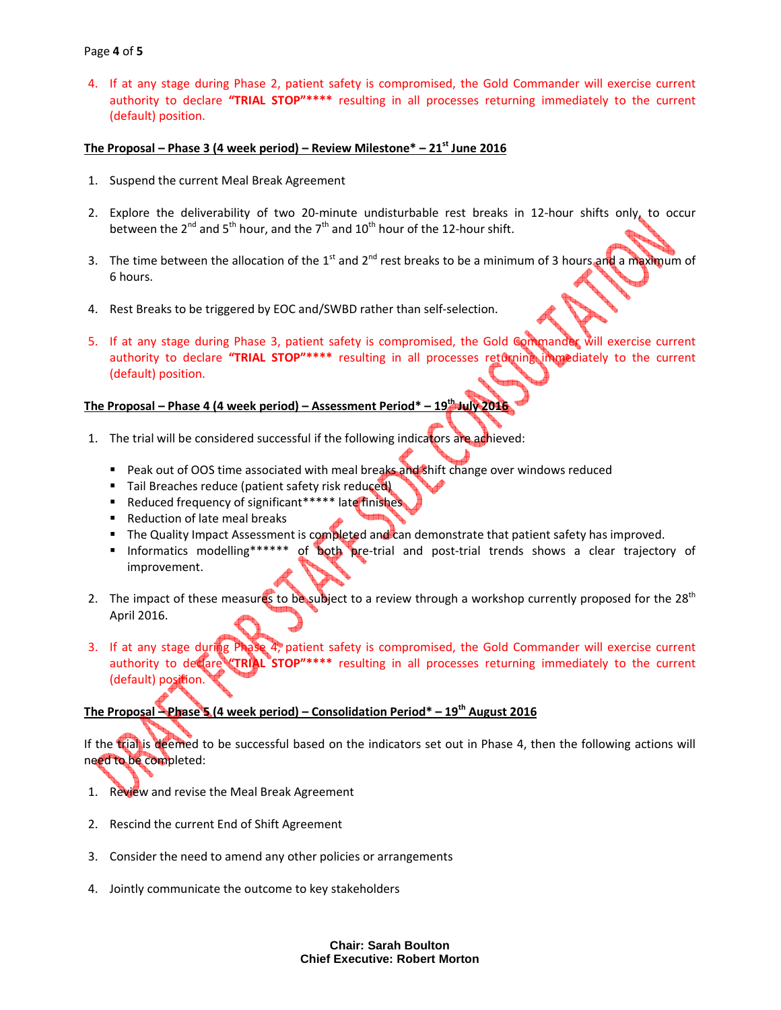#### Page 4 of 5

4. If at any stage during Phase 2, patient safety is compromised, the Gold Commander will exercise current authority to declare "TRIAL STOP"\*\*\*\* resulting in all processes returning immediately to the current (default) position.

#### The Proposal – Phase 3 (4 week period) – Review Milestone $*$  – 21 $*$  June 2016

- 1. Suspend the current Meal Break Agreement
- 2. Explore the deliverability of two 20-minute undisturbable rest breaks in 12-hour shifts only, to occur between the  $2^{nd}$  and  $5^{th}$  hour, and the  $7^{th}$  and  $10^{th}$  hour of the 12-hour shift.
- 3. The time between the allocation of the 1<sup>st</sup> and 2<sup>nd</sup> rest breaks to be a minimum of 3 hours and a maximum of 6 hours.
- 4. Rest Breaks to be triggered by EOC and/SWBD rather than self-selection.
- 5. If at any stage during Phase 3, patient safety is compromised, the Gold Commander will exercise current authority to declare "TRIAL STOP"\*\*\*\* resulting in all processes returning immediately to the current (default) position.

# The Proposal – Phase 4 (4 week period) – Assessment Period\* – 19<sup>th</sup> July 20:

- 1. The trial will be considered successful if the following indicators are adhieved:
	- Peak out of OOS time associated with meal breaks and shift change over windows reduced
	- Tail Breaches reduce (patient safety risk reduced)
	- Reduced frequency of significant\*\*\*\*\* late finishes
	- Reduction of late meal breaks
	- The Quality Impact Assessment is completed and can demonstrate that patient safety has improved.
	- Informatics modelling\*\*\*\*\*\* of both pre-trial and post-trial trends shows a clear trajectory of improvement.
- 2. The impact of these measures to be subject to a review through a workshop currently proposed for the 28<sup>th</sup> April 2016.
- 3. If at any stage during Phase 4, patient safety is compromised, the Gold Commander will exercise current authority to declare "TRIAL STOP"\*\*\*\* resulting in all processes returning immediately to the current (default) position.

### The Proposal – Phase 5 (4 week period) – Consolidation Period\* – 19<sup>th</sup> August 2016

If the trial is deemed to be successful based on the indicators set out in Phase 4, then the following actions will need to be completed:

- 1. Review and revise the Meal Break Agreement
- 2. Rescind the current End of Shift Agreement
- 3. Consider the need to amend any other policies or arrangements
- 4. Jointly communicate the outcome to key stakeholders

**Chair: Sarah Boulton Chief Executive: Robert Morton**